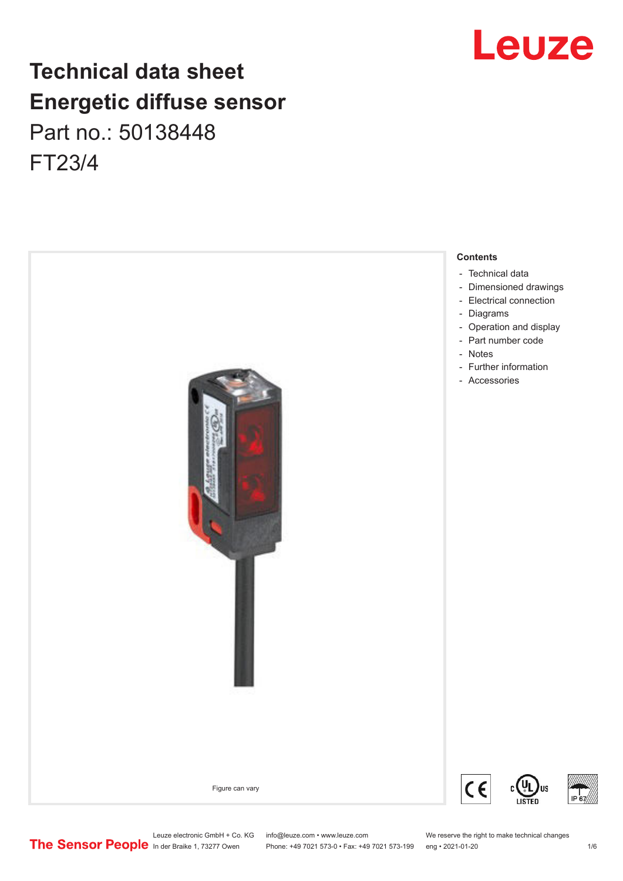# **Technical data sheet Energetic diffuse sensor** Part no.: 50138448 FT23/4



# Leuze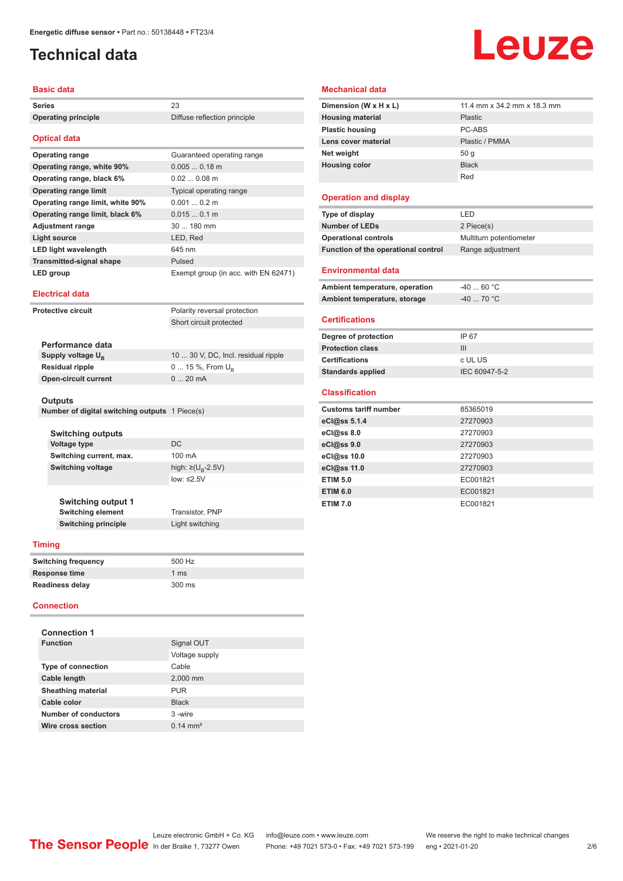# <span id="page-1-0"></span>**Technical data**

### **Basic data**

| Series                     | 23                           |
|----------------------------|------------------------------|
| <b>Operating principle</b> | Diffuse reflection principle |

### **Optical data**

| Optical uata                     |                                      |
|----------------------------------|--------------------------------------|
| <b>Operating range</b>           | Guaranteed operating range           |
| Operating range, white 90%       | $0.0050.18$ m                        |
| Operating range, black 6%        | $0.020.08$ m                         |
| <b>Operating range limit</b>     | Typical operating range              |
| Operating range limit, white 90% | $0.0010.2$ m                         |
| Operating range limit, black 6%  | 0.0150.1 m                           |
| <b>Adjustment range</b>          | $30180$ mm                           |
| <b>Light source</b>              | LED, Red                             |
| <b>LED light wavelength</b>      | 645 nm                               |
| <b>Transmitted-signal shape</b>  | Pulsed                               |
| LED group                        | Exempt group (in acc. with EN 62471) |

### **Electrical data**

| Protective circuit            | Polarity reversal protection        |
|-------------------------------|-------------------------------------|
|                               | Short circuit protected             |
|                               |                                     |
| Performance data              |                                     |
| Supply voltage U <sub>p</sub> | 10  30 V, DC, Incl. residual ripple |
| <b>Residual ripple</b>        | $0 15 \%$ , From $U_{\rm B}$        |
| <b>Open-circuit current</b>   | $020$ mA                            |

### **Outputs**

| Number of digital switching outputs 1 Piece(s) |  |
|------------------------------------------------|--|
|------------------------------------------------|--|

| <b>Switching outputs</b>  |                                     |  |
|---------------------------|-------------------------------------|--|
| <b>Voltage type</b>       | DC.                                 |  |
| Switching current, max.   | 100 mA                              |  |
| <b>Switching voltage</b>  | high: $\geq$ (U <sub>B</sub> -2.5V) |  |
|                           | low: $\leq 2.5V$                    |  |
|                           |                                     |  |
| <b>Switching output 1</b> |                                     |  |
| <b>Switching element</b>  | Transistor, PNP                     |  |

**Switching principle** Light switching

### **Timing**

| <b>Switching frequency</b> | 500 Hz |
|----------------------------|--------|
| <b>Response time</b>       | 1 ms   |
| <b>Readiness delay</b>     | 300 ms |

### **Connection**

| <b>Connection 1</b>       |                     |
|---------------------------|---------------------|
| <b>Function</b>           | Signal OUT          |
|                           | Voltage supply      |
| <b>Type of connection</b> | Cable               |
| Cable length              | 2,000 mm            |
| <b>Sheathing material</b> | <b>PUR</b>          |
| Cable color               | <b>Black</b>        |
| Number of conductors      | $3 - wire$          |
| Wire cross section        | $0.14 \text{ mm}^2$ |

# Leuze

### **Mechanical data**

| Dimension (W x H x L)   | 11.4 mm x 34.2 mm x 18.3 mm |
|-------------------------|-----------------------------|
| <b>Housing material</b> | <b>Plastic</b>              |
| <b>Plastic housing</b>  | PC-ABS                      |
| Lens cover material     | Plastic / PMMA              |
| Net weight              | 50q                         |
| <b>Housing color</b>    | <b>Black</b>                |
|                         | Red                         |

### **Operation and display**

| Type of display                     | I FD.                   |
|-------------------------------------|-------------------------|
| <b>Number of LEDs</b>               | 2 Piece(s)              |
| <b>Operational controls</b>         | Multiturn potentiometer |
| Function of the operational control | Range adjustment        |
| <b>Environmental data</b>           |                         |

| Ambient temperature, operation | -40  60 °C |  |
|--------------------------------|------------|--|
| Ambient temperature, storage   | -40  70 °C |  |

### **Certifications**

| Degree of protection     | IP 67         |
|--------------------------|---------------|
| <b>Protection class</b>  | Ш             |
| <b>Certifications</b>    | c UL US       |
| <b>Standards applied</b> | IEC 60947-5-2 |

### **Classification**

| <b>Customs tariff number</b> | 85365019 |
|------------------------------|----------|
| eCl@ss 5.1.4                 | 27270903 |
| eCl@ss 8.0                   | 27270903 |
| eCl@ss 9.0                   | 27270903 |
| eCl@ss 10.0                  | 27270903 |
| eCl@ss 11.0                  | 27270903 |
| <b>ETIM 5.0</b>              | EC001821 |
| <b>ETIM 6.0</b>              | EC001821 |
| <b>ETIM 7.0</b>              | EC001821 |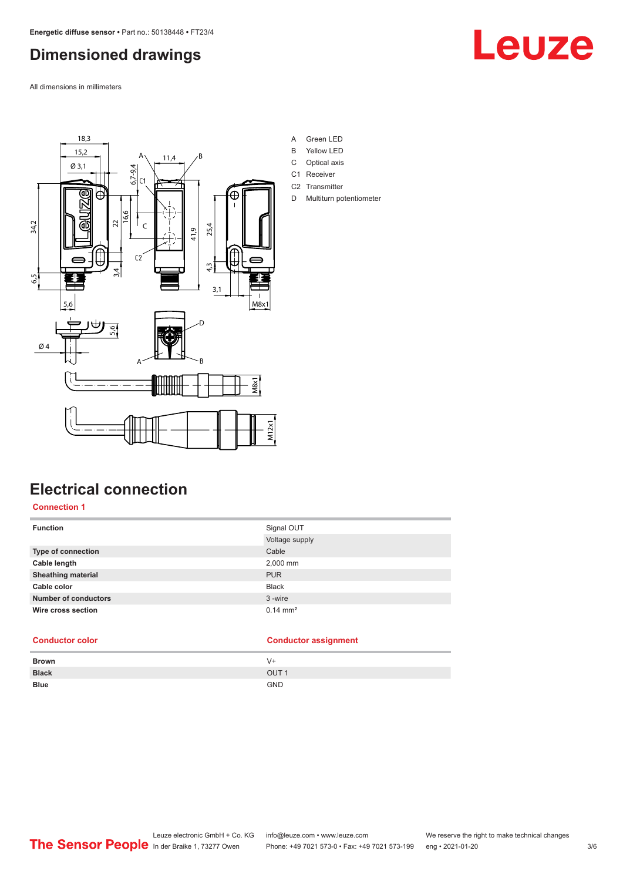# <span id="page-2-0"></span>**Dimensioned drawings**

All dimensions in millimeters





- A Green LED
- B Yellow LED
- C Optical axis
- C1 Receiver
- C<sub>2</sub> Transmitter
- D Multiturn potentiometer

# **Electrical connection**

**Connection 1**

| <b>Function</b>             | Signal OUT<br>Voltage supply |
|-----------------------------|------------------------------|
| Type of connection          | Cable                        |
| Cable length                | 2,000 mm                     |
| <b>Sheathing material</b>   | <b>PUR</b>                   |
| Cable color                 | <b>Black</b>                 |
| <b>Number of conductors</b> | 3-wire                       |
| Wire cross section          | $0.14 \text{ mm}^2$          |

### **Conductor color Conductor assignment**

| <b>Brown</b> | V+               |
|--------------|------------------|
| <b>Black</b> | OUT <sub>1</sub> |
| <b>Blue</b>  | <b>GND</b>       |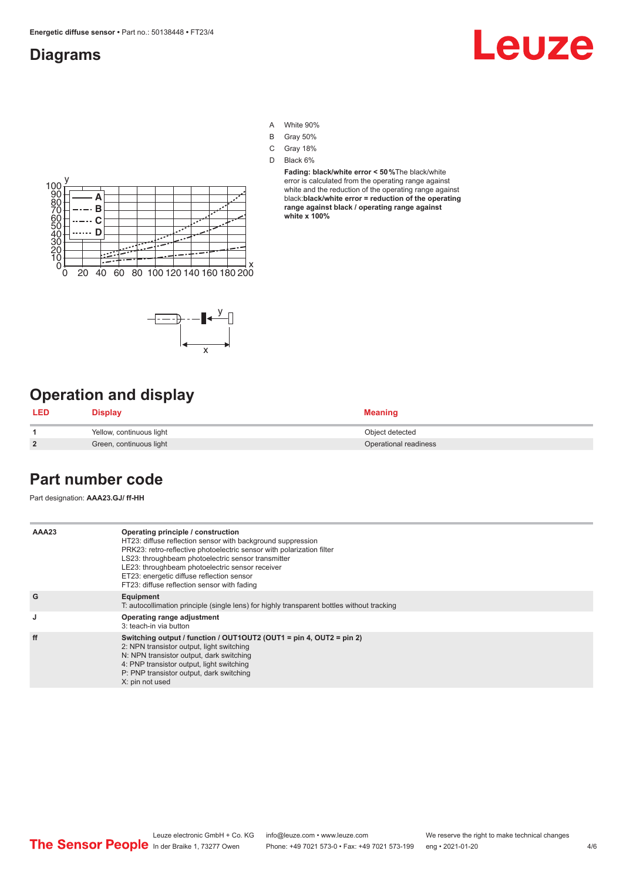## <span id="page-3-0"></span>**Diagrams**

# Leuze

- A White 90%
- B Gray 50%
- C Gray 18%
- D Black 6%

**Fading: black/white error < 50 %**The black/white error is calculated from the operating range against white and the reduction of the operating range against black:**black/white error = reduction of the operating range against black / operating range against white x 100%**





# **Operation and display**

| <b>LED</b>     | <b>Display</b>           | <b>Meaning</b>        |
|----------------|--------------------------|-----------------------|
|                | Yellow, continuous light | Object detected       |
| $\overline{2}$ | Green, continuous light  | Operational readiness |

## **Part number code**

Part designation: **AAA23.GJ/ ff-HH**

| AAA23 | Operating principle / construction<br>HT23: diffuse reflection sensor with background suppression<br>PRK23: retro-reflective photoelectric sensor with polarization filter<br>LS23: throughbeam photoelectric sensor transmitter<br>LE23: throughbeam photoelectric sensor receiver<br>ET23: energetic diffuse reflection sensor<br>FT23: diffuse reflection sensor with fading |
|-------|---------------------------------------------------------------------------------------------------------------------------------------------------------------------------------------------------------------------------------------------------------------------------------------------------------------------------------------------------------------------------------|
| G     | Equipment<br>T: autocollimation principle (single lens) for highly transparent bottles without tracking                                                                                                                                                                                                                                                                         |
| J     | Operating range adjustment<br>3: teach-in via button                                                                                                                                                                                                                                                                                                                            |
| ff    | Switching output / function / $OUT1OUT2$ (OUT1 = pin 4, OUT2 = pin 2)<br>2: NPN transistor output, light switching<br>N: NPN transistor output, dark switching<br>4: PNP transistor output, light switching<br>P: PNP transistor output, dark switching<br>X: pin not used                                                                                                      |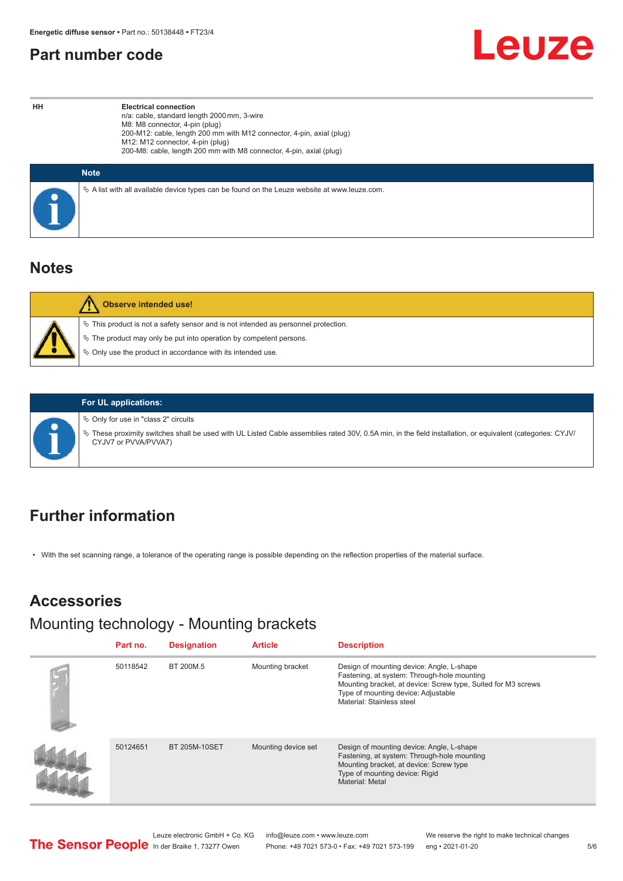## <span id="page-4-0"></span>**Part number code**

Leuze

**HH Electrical connection** n/a: cable, standard length 2000 mm, 3-wire M8: M8 connector, 4-pin (plug) 200-M12: cable, length 200 mm with M12 connector, 4-pin, axial (plug) M12: M12 connector, 4-pin (plug) 200-M8: cable, length 200 mm with M8 connector, 4-pin, axial (plug)

| <b>Note</b>                                                                                  |
|----------------------------------------------------------------------------------------------|
| % A list with all available device types can be found on the Leuze website at www.leuze.com. |

## **Notes**

| <b>Observe intended use!</b>                                                                                                                                                                                                  |
|-------------------------------------------------------------------------------------------------------------------------------------------------------------------------------------------------------------------------------|
| $\%$ This product is not a safety sensor and is not intended as personnel protection.<br>$\&$ The product may only be put into operation by competent persons.<br>₿ Only use the product in accordance with its intended use. |



### **For UL applications:**

 $\%$  Only for use in "class 2" circuits

ª These proximity switches shall be used with UL Listed Cable assemblies rated 30V, 0.5A min, in the field installation, or equivalent (categories: CYJV/ CYJV7 or PVVA/PVVA7)

# **Further information**

• With the set scanning range, a tolerance of the operating range is possible depending on the reflection properties of the material surface.

# **Accessories**

Mounting technology - Mounting brackets

| Part no. | <b>Designation</b>   | <b>Article</b>      | <b>Description</b>                                                                                                                                                                                                            |
|----------|----------------------|---------------------|-------------------------------------------------------------------------------------------------------------------------------------------------------------------------------------------------------------------------------|
| 50118542 | BT 200M.5            | Mounting bracket    | Design of mounting device: Angle, L-shape<br>Fastening, at system: Through-hole mounting<br>Mounting bracket, at device: Screw type, Suited for M3 screws<br>Type of mounting device: Adjustable<br>Material: Stainless steel |
| 50124651 | <b>BT 205M-10SET</b> | Mounting device set | Design of mounting device: Angle, L-shape<br>Fastening, at system: Through-hole mounting<br>Mounting bracket, at device: Screw type<br>Type of mounting device: Rigid<br>Material: Metal                                      |